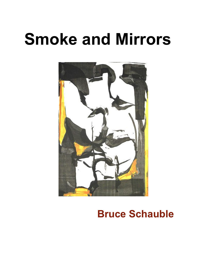# **Smoke and Mirrors**



### **Bruce Schauble**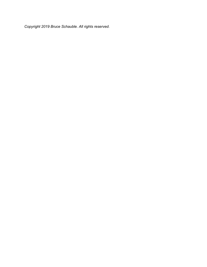*Copyright 2019 Bruce Schauble. All rights reserved.*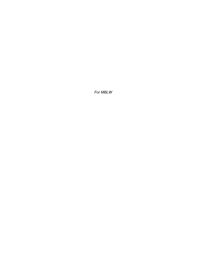*For MBLW*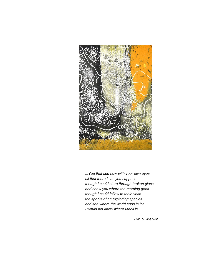

*...You that see now with your own eyes all that there is as you suppose though I could stare through broken glass and show you where the morning goes though I could follow to their close the sparks of an exploding species and see where the world ends in ice I would not know where Maoli is*

*- W. S. Merwin*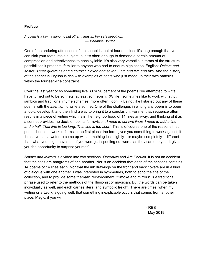#### **Preface**

*A poem is a box, a thing, to put other things in. For safe keeping... — Marianne Boruch*

One of the enduring attractions of the sonnet is that at fourteen lines it's long enough that you can sink your teeth into a subject, but it's short enough to demand a certain amount of compression and attentiveness to each syllable. It's also very versatile in terms of the structural possibilities it presents, familiar to anyone who had to endure high school English: *Octave and sestet. Three quatrains and a couplet. Seven and seven. Five and five and two*. And the history of the sonnet in English is rich with examples of poets who just made up their own patterns within the fourteen-line constraint.

Over the last year or so something like 80 or 90 percent of the poems I've attempted to write have turned out to be sonnets, at least sonnet-ish. (While I sometimes like to work with strict iambics and traditional rhyme schemes, more often I don't.) It's not like I started out any of these poems with the *intention* to write a sonnet. One of the challenges in writing any poem is to open a topic, develop it, and then find a way to bring it to a conclusion. For me, that sequence often results in a piece of writing which is in the neighborhood of 14 lines anyway, and thinking of it as a sonnet provides me decision points for revision: *I need to cut two lines. I need to add a line and a half. That line is too long. That line is too short.* This is of course one of the reasons that poets choose to work in forms in the first place: the form gives you something to work against; it forces you as a writer to come up with something just slightly—or maybe completely—different than what you might have said if you were just spooling out words as they came to you. It gives you the opportunity to surprise yourself.

*Smoke and Mirrors* is divided into two sections, *Operatics* and *Ars Poetica*. It is not an accident that the titles are anagrams of one another. Nor is an accident that each of the sections contains 14 poems of 14 lines each. Nor that the ink drawings on the front and back covers are in a kind of dialogue with one another. I was interested in symmetries, both to echo the title of the collection, and to provide some thematic reinforcement. "Smoke and mirrors" is a traditional phrase used to refer to the methods of the illusionist or magician. But the words can be taken individually as well, and each carries literal and symbolic freight. There are times, when my writing or artwork is going well, that something inexplicable occurs that comes from another place. Magic, if you will.

> - RBS May 2019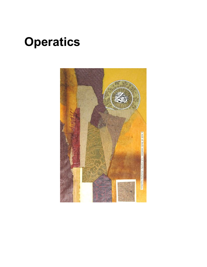## **Operatics**

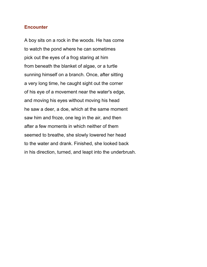#### **Encounter**

A boy sits on a rock in the woods. He has come to watch the pond where he can sometimes pick out the eyes of a frog staring at him from beneath the blanket of algae, or a turtle sunning himself on a branch. Once, after sitting a very long time, he caught sight out the corner of his eye of a movement near the water's edge, and moving his eyes without moving his head he saw a deer, a doe, which at the same moment saw him and froze, one leg in the air, and then after a few moments in which neither of them seemed to breathe, she slowly lowered her head to the water and drank. Finished, she looked back in his direction, turned, and leapt into the underbrush.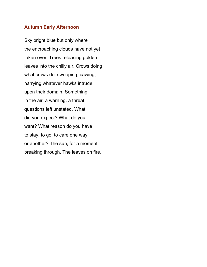#### **Autumn Early Afternoon**

Sky bright blue but only where the encroaching clouds have not yet taken over. Trees releasing golden leaves into the chilly air. Crows doing what crows do: swooping, cawing, harrying whatever hawks intrude upon their domain. Something in the air: a warning, a threat, questions left unstated. What did you expect? What do you want? What reason do you have to stay, to go, to care one way or another? The sun, for a moment, breaking through. The leaves on fire.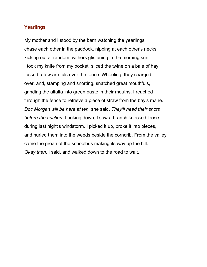#### **Yearlings**

My mother and I stood by the barn watching the yearlings chase each other in the paddock, nipping at each other's necks, kicking out at random, withers glistening in the morning sun. I took my knife from my pocket, sliced the twine on a bale of hay, tossed a few armfuls over the fence. Wheeling, they charged over, and, stamping and snorting, snatched great mouthfuls, grinding the alfalfa into green paste in their mouths. I reached through the fence to retrieve a piece of straw from the bay's mane. *Doc Morgan will be here at ten*, she said. *They'll need their shots before the auction*. Looking down, I saw a branch knocked loose during last night's windstorm. I picked it up, broke it into pieces, and hurled them into the weeds beside the corncrib. From the valley came the groan of the schoolbus making its way up the hill. *Okay then*, I said, and walked down to the road to wait.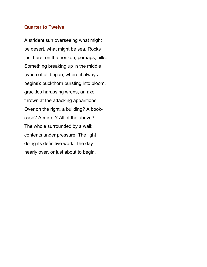#### **Quarter to Twelve**

A strident sun overseeing what might be desert, what might be sea. Rocks just here; on the horizon, perhaps, hills. Something breaking up in the middle (where it all began, where it always begins): buckthorn bursting into bloom, grackles harassing wrens, an axe thrown at the attacking apparitions. Over on the right, a building? A bookcase? A mirror? All of the above? The whole surrounded by a wall: contents under pressure. The light doing its definitive work. The day nearly over, or just about to begin.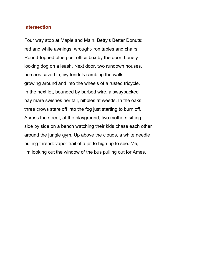#### **Intersection**

Four way stop at Maple and Main. Betty's Better Donuts: red and white awnings, wrought-iron tables and chairs. Round-topped blue post office box by the door. Lonelylooking dog on a leash. Next door, two rundown houses, porches caved in, ivy tendrils climbing the walls, growing around and into the wheels of a rusted tricycle. In the next lot, bounded by barbed wire, a swaybacked bay mare swishes her tail, nibbles at weeds. In the oaks, three crows stare off into the fog just starting to burn off. Across the street, at the playground, two mothers sitting side by side on a bench watching their kids chase each other around the jungle gym. Up above the clouds, a white needle pulling thread: vapor trail of a jet to high up to see. Me, I'm looking out the window of the bus pulling out for Ames.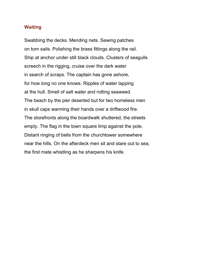#### **Waiting**

Swabbing the decks. Mending nets. Sewing patches on torn sails. Polishing the brass fittings along the rail. Ship at anchor under still black clouds. Clusters of seagulls screech in the rigging, cruise over the dark water in search of scraps. The captain has gone ashore, for how long no one knows. Ripples of water lapping at the hull. Smell of salt water and rotting seaweed. The beach by the pier deserted but for two homeless men in skull caps warming their hands over a driftwood fire. The storefronts along the boardwalk shuttered, the streets empty. The flag in the town square limp against the pole. Distant ringing of bells from the churchtower somewhere near the hills. On the afterdeck men sit and stare out to sea, the first mate whistling as he sharpens his knife.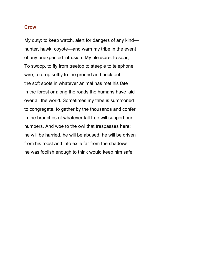#### **Crow**

My duty: to keep watch, alert for dangers of any kind hunter, hawk, coyote—and warn my tribe in the event of any unexpected intrusion. My pleasure: to soar, To swoop, to fly from treetop to steeple to telephone wire, to drop softly to the ground and peck out the soft spots in whatever animal has met his fate in the forest or along the roads the humans have laid over all the world. Sometimes my tribe is summoned to congregate, to gather by the thousands and confer in the branches of whatever tall tree will support our numbers. And woe to the owl that trespasses here: he will be harried, he will be abused, he will be driven from his roost and into exile far from the shadows he was foolish enough to think would keep him safe.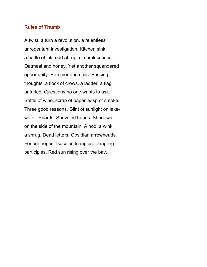#### **Rules of Thumb**

A twist, a turn a revolution, a relentless unrepentant investigation. Kitchen sink, a bottle of ink, odd abrupt circumlocutions. Oatmeal and honey. Yet another squandered opportunity. Hammer and nails. Passing thoughts: a flock of crows, a ladder, a flag unfurled. Questions no one wants to ask. Bottle of wine, scrap of paper, wisp of smoke. Three good reasons. Glint of sunlight on lakewater. Shards. Shriveled heads. Shadows on the side of the mountain. A nod, a wink, a shrug. Dead letters. Obsidian arrowheads. Forlorn hopes. Isoceles triangles. Dangling participles. Red sun rising over the bay.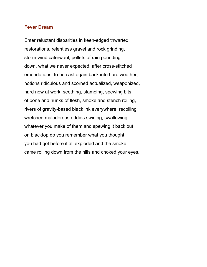#### **Fever Dream**

Enter reluctant disparities in keen-edged thwarted restorations, relentless gravel and rock grinding, storm-wind caterwaul, pellets of rain pounding down, what we never expected, after cross-stitched emendations, to be cast again back into hard weather, notions ridiculous and scorned actualized, weaponized, hard now at work, seething, stamping, spewing bits of bone and hunks of flesh, smoke and stench roiling, rivers of gravity-based black ink everywhere, recoiling wretched malodorous eddies swirling, swallowing whatever you make of them and spewing it back out on blacktop do you remember what you thought you had got before it all exploded and the smoke came rolling down from the hills and choked your eyes.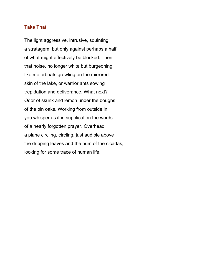#### **Take That**

The light aggressive, intrusive, squinting a stratagem, but only against perhaps a half of what might effectively be blocked. Then that noise, no longer white but burgeoning, like motorboats growling on the mirrored skin of the lake, or warrior ants sowing trepidation and deliverance. What next? Odor of skunk and lemon under the boughs of the pin oaks. Working from outside in, you whisper as if in supplication the words of a nearly forgotten prayer. Overhead a plane circling, circling, just audible above the dripping leaves and the hum of the cicadas, looking for some trace of human life.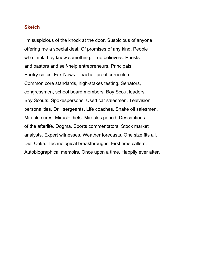#### **Sketch**

I'm suspicious of the knock at the door. Suspicious of anyone offering me a special deal. Of promises of any kind. People who think they know something. True believers. Priests and pastors and self-help entrepreneurs. Principals. Poetry critics. Fox News. Teacher-proof curriculum. Common core standards, high-stakes testing. Senators, congressmen, school board members. Boy Scout leaders. Boy Scouts. Spokespersons. Used car salesmen. Television personalities. Drill sergeants. Life coaches. Snake oil salesmen. Miracle cures. Miracle diets. Miracles period. Descriptions of the afterlife. Dogma. Sports commentators. Stock market analysts. Expert witnesses. Weather forecasts. One size fits all. Diet Coke. Technological breakthroughs. First time callers. Autobiographical memoirs. Once upon a time. Happily ever after.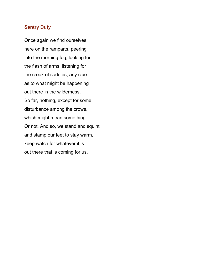#### **Sentry Duty**

Once again we find ourselves here on the ramparts, peering into the morning fog, looking for the flash of arms, listening for the creak of saddles, any clue as to what might be happening out there in the wilderness. So far, nothing, except for some disturbance among the crows, which might mean something. Or not. And so, we stand and squint and stamp our feet to stay warm, keep watch for whatever it is out there that is coming for us.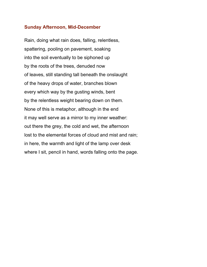#### **Sunday Afternoon, Mid-December**

Rain, doing what rain does, falling, relentless, spattering, pooling on pavement, soaking into the soil eventually to be siphoned up by the roots of the trees, denuded now of leaves, still standing tall beneath the onslaught of the heavy drops of water, branches blown every which way by the gusting winds, bent by the relentless weight bearing down on them. None of this is metaphor, although in the end it may well serve as a mirror to my inner weather: out there the grey, the cold and wet, the afternoon lost to the elemental forces of cloud and mist and rain; in here, the warmth and light of the lamp over desk where I sit, pencil in hand, words falling onto the page.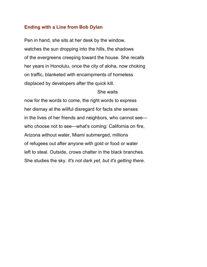#### **Ending with a Line from Bob Dylan**

Pen in hand, she sits at her desk by the window, watches the sun dropping into the hills, the shadows of the evergreens creeping toward the house. She recalls her years in Honolulu, once the city of aloha, now choking on traffic, blanketed with encampments of homeless displaced by developers after the quick kill.

#### She waits

now for the words to come, the right words to express her dismay at the willful disregard for facts she senses in the lives of her friends and neighbors, who cannot see who choose not to see—what's coming: California on fire, Arizona without water, Miami submerged, millions of refugees out after anyone with gold or food or water left to steal. Outside, crows chatter in the black branches. She studies the sky. *It's not dark yet, but it's getting there.*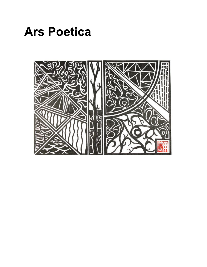

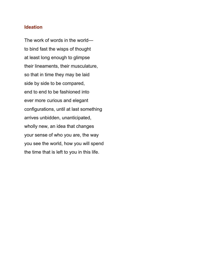#### **Ideation**

The work of words in the world to bind fast the wisps of thought at least long enough to glimpse their lineaments, their musculature, so that in time they may be laid side by side to be compared, end to end to be fashioned into ever more curious and elegant configurations, until at last something arrives unbidden, unanticipated, wholly new, an idea that changes your sense of who you are, the way you see the world, how you will spend the time that is left to you in this life.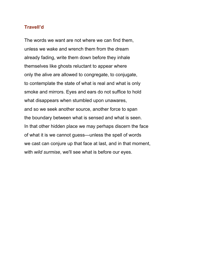#### **Travell'd**

The words we want are not where we can find them, unless we wake and wrench them from the dream already fading, write them down before they inhale themselves like ghosts reluctant to appear where only the alive are allowed to congregate, to conjugate, to contemplate the state of what is real and what is only smoke and mirrors. Eyes and ears do not suffice to hold what disappears when stumbled upon unawares, and so we seek another source, another force to span the boundary between what is sensed and what is seen. In that other hidden place we may perhaps discern the face of what it is we cannot guess—unless the spell of words we cast can conjure up that face at last, and in that moment, with *wild surmise*, we'll see what is before our eyes.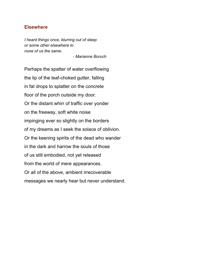#### **Elsewhere**

*I heard things once, blurring out of sleep or some other elsewhere to none of us the same.*

*- Marianne Boruch*

Perhaps the spatter of water overflowing the lip of the leaf-choked gutter, falling in fat drops to splatter on the concrete floor of the porch outside my door. Or the distant whirr of traffic over yonder on the freeway, soft white noise impinging ever so slightly on the borders of my dreams as I seek the solace of oblivion. Or the keening spirits of the dead who wander in the dark and harrow the souls of those of us still embodied, not yet released from the world of mere appearances. Or all of the above, ambient irrecoverable messages we nearly hear but never understand.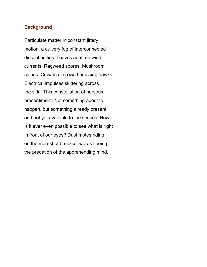#### **Background**

Particulate matter in constant jittery motion, a quivery fog of interconnected discontinuities. Leaves adrift on wind currents. Ragweed spores. Mushroom clouds. Crowds of crows harassing hawks. Electrical impulses skittering across the skin. This constellation of nervous presentiment. Not something about to happen, but something already present and not yet available to the senses. How is it ever even possible to see what is right in front of our eyes? Dust motes riding on the merest of breezes, words fleeing the predation of the apprehending mind.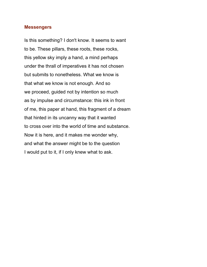#### **Messengers**

Is this something? I don't know. It seems to want to be. These pillars, these roots, these rocks, this yellow sky imply a hand, a mind perhaps under the thrall of imperatives it has not chosen but submits to nonetheless. What we know is that what we know is not enough. And so we proceed, guided not by intention so much as by impulse and circumstance: this ink in front of me, this paper at hand, this fragment of a dream that hinted in its uncanny way that it wanted to cross over into the world of time and substance. Now it is here, and it makes me wonder why, and what the answer might be to the question I would put to it, if I only knew what to ask.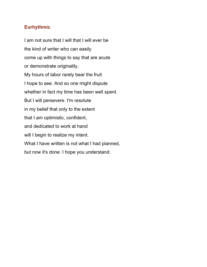#### **Eurhythmic**

I am not sure that I will that I will ever be the kind of writer who can easily come up with things to say that are acute or demonstrate originality. My hours of labor rarely bear the fruit I hope to see. And so one might dispute whether in fact my time has been well spent. But I will persevere. I'm resolute in my belief that only to the extent that I am optimistic, confident, and dedicated to work at hand will I begin to realize my intent. What I have written is not what I had planned, but now it's done. I hope you understand.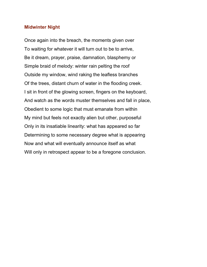#### **Midwinter Night**

Once again into the breach, the moments given over To waiting for whatever it will turn out to be to arrive, Be it dream, prayer, praise, damnation, blasphemy or Simple braid of melody: winter rain pelting the roof Outside my window, wind raking the leafless branches Of the trees, distant churn of water in the flooding creek. I sit in front of the glowing screen, fingers on the keyboard, And watch as the words muster themselves and fall in place, Obedient to some logic that must emanate from within My mind but feels not exactly alien but other, purposeful Only in its insatiable linearity: what has appeared so far Determining to some necessary degree what is appearing Now and what will eventually announce itself as what Will only in retrospect appear to be a foregone conclusion.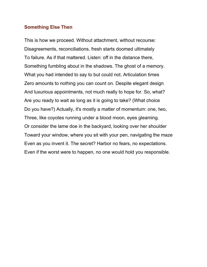#### **Something Else Then**

This is how we proceed. Without attachment, without recourse: Disagreements, reconciliations, fresh starts doomed ultimately To failure. As if that mattered. Listen: off in the distance there, Something fumbling about in the shadows. The ghost of a memory. What you had intended to say to but could not. Articulation times Zero amounts to nothing you can count on. Despite elegant design And luxurious appointments, not much really to hope for. So, what? Are you ready to wait as long as it is going to take? (What choice Do you have?) Actually, it's mostly a matter of momentum: one, two, Three, like coyotes running under a blood moon, eyes gleaming. Or consider the lame doe in the backyard, looking over her shoulder Toward your window, where you sit with your pen, navigating the maze Even as you invent it. The secret? Harbor no fears, no expectations. Even if the worst were to happen, no one would hold you responsible.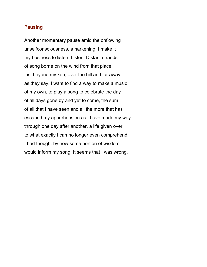#### **Pausing**

Another momentary pause amid the onflowing unselfconsciousness, a harkening: I make it my business to listen. Listen. Distant strands of song borne on the wind from that place just beyond my ken, over the hill and far away, as they say. I want to find a way to make a music of my own, to play a song to celebrate the day of all days gone by and yet to come, the sum of all that I have seen and all the more that has escaped my apprehension as I have made my way through one day after another, a life given over to what exactly I can no longer even comprehend. I had thought by now some portion of wisdom would inform my song. It seems that I was wrong.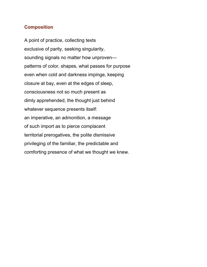#### **Composition**

A point of practice, collecting texts exclusive of parity, seeking singularity, sounding signals no matter how unproven patterns of color, shapes, what passes for purpose even when cold and darkness impinge, keeping closure at bay, even at the edges of sleep, consciousness not so much present as dimly apprehended, the thought just behind whatever sequence presents itself: an imperative, an admonition, a message of such import as to pierce complacent territorial prerogatives, the polite dismissive privileging of the familiar, the predictable and comforting presence of what we thought we knew.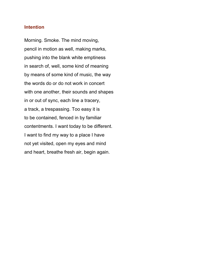#### **Intention**

Morning. Smoke. The mind moving, pencil in motion as well, making marks, pushing into the blank white emptiness in search of, well, some kind of meaning by means of some kind of music, the way the words do or do not work in concert with one another, their sounds and shapes in or out of sync, each line a tracery, a track, a trespassing. Too easy it is to be contained, fenced in by familiar contentments. I want today to be different. I want to find my way to a place I have not yet visited, open my eyes and mind and heart, breathe fresh air, begin again.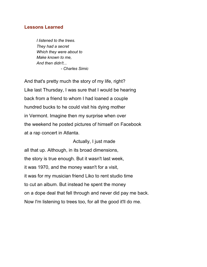#### **Lessons Learned**

*I listened to the trees. They had a secret Which they were about to Make known to me, And then didn't... - Charles Simic*

And that's pretty much the story of my life, right? Like last Thursday, I was sure that I would be hearing back from a friend to whom I had loaned a couple hundred bucks to he could visit his dying mother in Vermont. Imagine then my surprise when over the weekend he posted pictures of himself on Facebook at a rap concert in Atlanta.

Actually, I just made all that up. Although, in its broad dimensions, the story is true enough. But it wasn't last week, it was 1970, and the money wasn't for a visit, it was for my musician friend Liko to rent studio time to cut an album. But instead he spent the money on a dope deal that fell through and never did pay me back. Now I'm listening to trees too, for all the good it'll do me.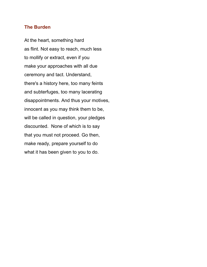#### **The Burden**

At the heart, something hard as flint. Not easy to reach, much less to mollify or extract, even if you make your approaches with all due ceremony and tact. Understand, there's a history here, too many feints and subterfuges, too many lacerating disappointments. And thus your motives, innocent as you may think them to be, will be called in question, your pledges discounted. None of which is to say that you must not proceed. Go then, make ready, prepare yourself to do what it has been given to you to do.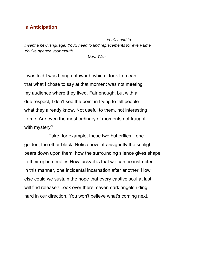#### **In Anticipation**

 *You'll need to Invent a new language. You'll need to find replacements for every time You've opened your mouth.*

*- Dara Wier*

I was told I was being untoward, which I took to mean that what I chose to say at that moment was not meeting my audience where they lived. Fair enough, but with all due respect, I don't see the point in trying to tell people what they already know. Not useful to them, not interesting to me. Are even the most ordinary of moments not fraught with mystery?

Take, for example, these two butterflies—one golden, the other black. Notice how intransigently the sunlight bears down upon them, how the surrounding silence gives shape to their ephemerality. How lucky it is that we can be instructed in this manner, one incidental incarnation after another. How else could we sustain the hope that every captive soul at last will find release? Look over there: seven dark angels riding hard in our direction. You won't believe what's coming next.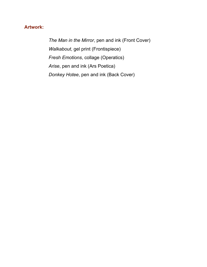#### **Artwork:**

*The Man in the Mirror*, pen and ink (Front Cover) *Walkabout*, gel print (Frontispiece) *Fresh Emotions*, collage (Operatics) *Arise*, pen and ink (Ars Poetica) *Donkey Hotee*, pen and ink (Back Cover)